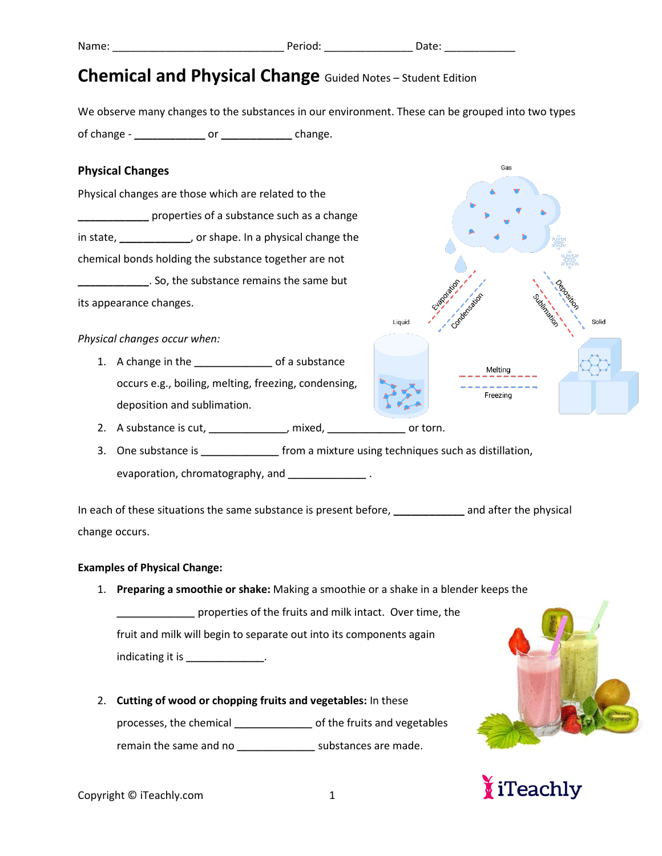We observe many changes to the substances in our environment. These can be grouped into two types of change - **\_\_\_\_\_\_\_\_\_\_\_\_** or **\_\_\_\_\_\_\_\_\_\_\_\_** change.

#### **Physical Changes**

Physical changes are those which are related to the **EXECUTE:** properties of a substance such as a change in state, **\_\_\_\_\_\_\_\_\_\_\_\_**, or shape. In a physical change the chemical bonds holding the substance together are not **\_\_\_\_\_\_\_\_\_\_\_\_**. So, the substance remains the same but its appearance changes.

*Physical changes occur when:*

1. A change in the **\_\_\_\_\_\_\_\_\_\_\_\_** of a substance occurs e.g., boiling, melting, freezing, condensing, deposition and sublimation.



- 2. A substance is cut, **\_\_\_\_\_\_\_\_\_\_\_\_**, mixed, **\_\_\_\_\_\_\_\_\_\_\_\_** or torn.
- 3. One substance is **\_\_\_\_\_\_\_\_\_\_\_\_** from a mixture using techniques such as distillation, evaporation, chromatography, and **\_\_\_\_\_\_\_\_\_\_\_\_** .

In each of these situations the same substance is present before, **\_\_\_\_\_\_\_\_\_\_\_\_** and after the physical change occurs.

#### **Examples of Physical Change:**

1. **Preparing a smoothie or shake:** Making a smoothie or a shake in a blender keeps the

**\_\_\_\_\_\_\_\_\_\_\_\_** properties of the fruits and milk intact. Over time, the fruit and milk will begin to separate out into its components again indicating it is **\_\_\_\_\_\_\_\_\_\_\_\_**.

2. **Cutting of wood or chopping fruits and vegetables:** In these processes, the chemical **\_\_\_\_\_\_\_\_\_\_\_\_** of the fruits and vegetables remain the same and no **\_\_\_\_\_\_\_\_\_\_\_\_** substances are made.



# iTeachly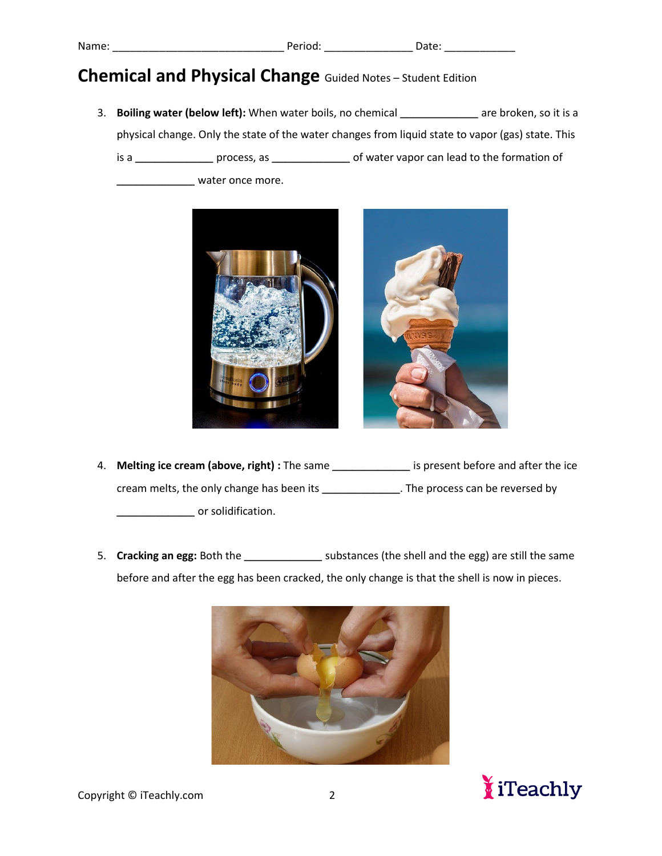3. **Boiling water (below left):** When water boils, no chemical **\_\_\_\_\_\_\_\_\_\_\_\_** are broken, so it is a physical change. Only the state of the water changes from liquid state to vapor (gas) state. This is a **\_\_\_\_\_\_\_\_\_\_\_\_** process, as **\_\_\_\_\_\_\_\_\_\_\_\_** of water vapor can lead to the formation of

**\_\_\_\_\_\_\_\_\_\_\_\_** water once more.



- 4. **Melting ice cream (above, right) :** The same **\_\_\_\_\_\_\_\_\_\_\_\_** is present before and after the ice cream melts, the only change has been its **\_\_\_\_\_\_\_\_\_\_\_\_**. The process can be reversed by **\_\_\_\_\_\_\_\_\_\_\_\_** or solidification.
- 5. **Cracking an egg:** Both the **\_\_\_\_\_\_\_\_\_\_\_\_** substances (the shell and the egg) are still the same before and after the egg has been cracked, the only change is that the shell is now in pieces.



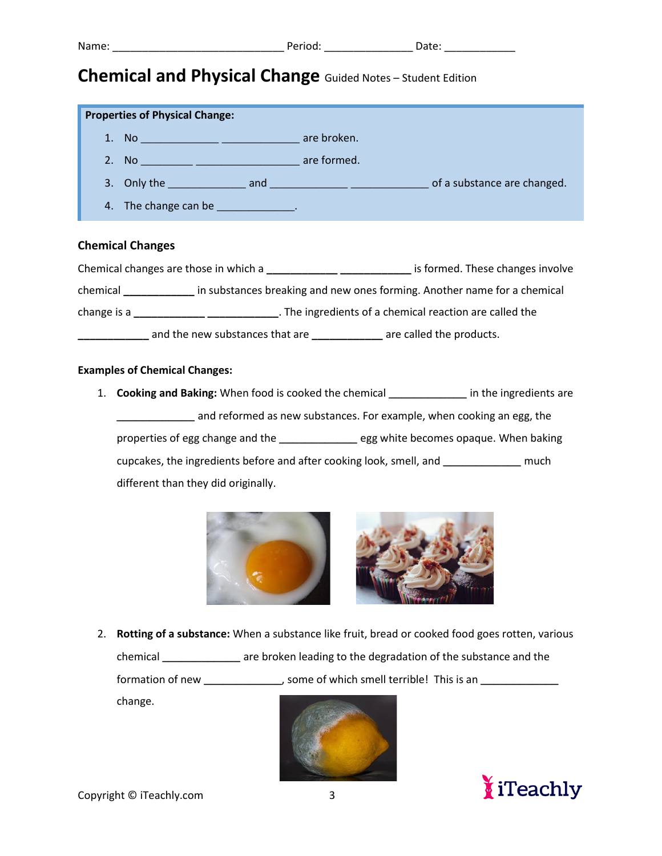| <b>Properties of Physical Change:</b>  |                             |
|----------------------------------------|-----------------------------|
| No <u>________________</u> ___________ | are broken.                 |
| 2. No 2008 are formed.                 |                             |
|                                        | of a substance are changed. |
| 4. The change can be ______________.   |                             |

### **Chemical Changes**

|             | Chemical changes are those in which a | is formed. These changes involve                                         |
|-------------|---------------------------------------|--------------------------------------------------------------------------|
| chemical    |                                       | in substances breaking and new ones forming. Another name for a chemical |
| change is a |                                       | . The ingredients of a chemical reaction are called the                  |
|             | and the new substances that are       | are called the products.                                                 |

#### **Examples of Chemical Changes:**

1. **Cooking and Baking:** When food is cooked the chemical **\_\_\_\_\_\_\_\_\_\_\_\_** in the ingredients are **\_\_\_\_\_\_\_\_\_\_** and reformed as new substances. For example, when cooking an egg, the properties of egg change and the **\_\_\_\_\_\_\_\_\_\_\_\_** egg white becomes opaque. When baking cupcakes, the ingredients before and after cooking look, smell, and **\_\_\_\_\_\_\_\_\_\_\_\_** much different than they did originally.



2. **Rotting of a substance:** When a substance like fruit, bread or cooked food goes rotten, various chemical **\_\_\_\_\_\_\_\_\_\_\_\_** are broken leading to the degradation of the substance and the

formation of new **\_\_\_\_\_\_\_\_\_\_\_\_**, some of which smell terrible! This is an **\_\_\_\_\_\_\_\_\_\_\_\_**

change.